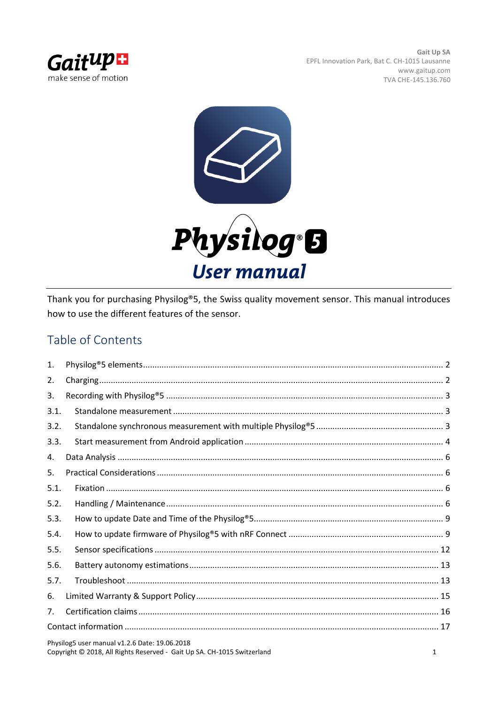



Thank you for purchasing Physilog®5, the Swiss quality movement sensor. This manual introduces how to use the different features of the sensor.

# Table of Contents

| $\mathbf{1}$ . |                                               |  |  |  |
|----------------|-----------------------------------------------|--|--|--|
| 2.             |                                               |  |  |  |
| 3.             |                                               |  |  |  |
| 3.1.           |                                               |  |  |  |
| 3.2.           |                                               |  |  |  |
| 3.3.           |                                               |  |  |  |
| 4.             |                                               |  |  |  |
| 5.             |                                               |  |  |  |
| 5.1.           |                                               |  |  |  |
| 5.2.           |                                               |  |  |  |
| 5.3.           |                                               |  |  |  |
| 5.4.           |                                               |  |  |  |
| 5.5.           |                                               |  |  |  |
| 5.6.           |                                               |  |  |  |
| 5.7.           |                                               |  |  |  |
| 6.             |                                               |  |  |  |
| 7.             |                                               |  |  |  |
|                |                                               |  |  |  |
|                | Physilog5 user manual v1 2 6 Date: 19 06 2018 |  |  |  |

Physilog5 user manual v1.2.6 Date: 19.06.2018 Copyright © 2018, All Rights Reserved - Gait Up SA. CH-1015 Switzerland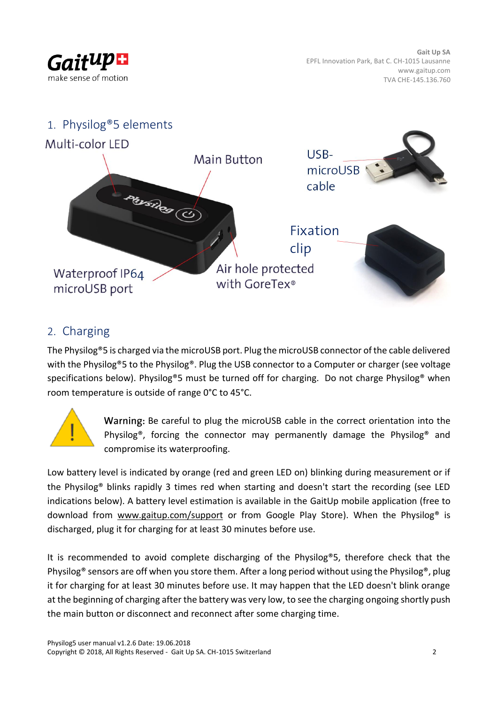<span id="page-1-0"></span>



## <span id="page-1-1"></span>2. Charging

The Physilog®5 is charged via the microUSB port. Plug the microUSB connector of the cable delivered with the Physilog®5 to the Physilog®. Plug the USB connector to a Computer or charger (see voltage specifications below). Physilog®5 must be turned off for charging. Do not charge Physilog® when room temperature is outside of range 0°C to 45°C.



Warning: Be careful to plug the microUSB cable in the correct orientation into the Physilog®, forcing the connector may permanently damage the Physilog® and compromise its waterproofing.

Low battery level is indicated by orange (red and green LED on) blinking during measurement or if the Physilog® blinks rapidly 3 times red when starting and doesn't start the recording (see LED indications below). A battery level estimation is available in the GaitUp mobile application (free to download from [www.gaitup.com/support](http://www.gaitup.com/support) or from Google Play Store). When the Physilog<sup>®</sup> is discharged, plug it for charging for at least 30 minutes before use.

It is recommended to avoid complete discharging of the Physilog®5, therefore check that the Physilog<sup>®</sup> sensors are off when you store them. After a long period without using the Physilog<sup>®</sup>, plug it for charging for at least 30 minutes before use. It may happen that the LED doesn't blink orange at the beginning of charging after the battery was very low, to see the charging ongoing shortly push the main button or disconnect and reconnect after some charging time.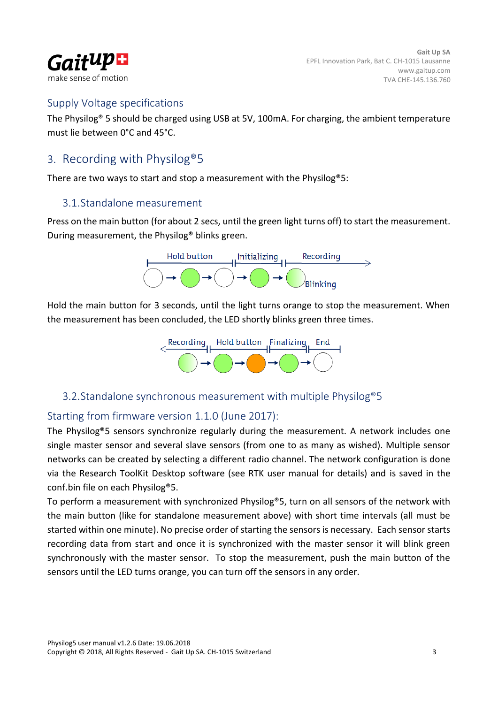

### Supply Voltage specifications

The Physilog® 5 should be charged using USB at 5V, 100mA. For charging, the ambient temperature must lie between 0°C and 45°C.

## <span id="page-2-0"></span>3. Recording with Physilog®5

<span id="page-2-1"></span>There are two ways to start and stop a measurement with the Physilog®5:

### 3.1.Standalone measurement

Press on the main button (for about 2 secs, until the green light turns off) to start the measurement. During measurement, the Physilog® blinks green.



Hold the main button for 3 seconds, until the light turns orange to stop the measurement. When the measurement has been concluded, the LED shortly blinks green three times.



### <span id="page-2-2"></span>3.2.Standalone synchronous measurement with multiple Physilog®5

## Starting from firmware version 1.1.0 (June 2017):

The Physilog®5 sensors synchronize regularly during the measurement. A network includes one single master sensor and several slave sensors (from one to as many as wished). Multiple sensor networks can be created by selecting a different radio channel. The network configuration is done via the Research ToolKit Desktop software (see RTK user manual for details) and is saved in the conf.bin file on each Physilog®5.

To perform a measurement with synchronized Physilog®5, turn on all sensors of the network with the main button (like for standalone measurement above) with short time intervals (all must be started within one minute). No precise order of starting the sensors is necessary. Each sensor starts recording data from start and once it is synchronized with the master sensor it will blink green synchronously with the master sensor. To stop the measurement, push the main button of the sensors until the LED turns orange, you can turn off the sensors in any order.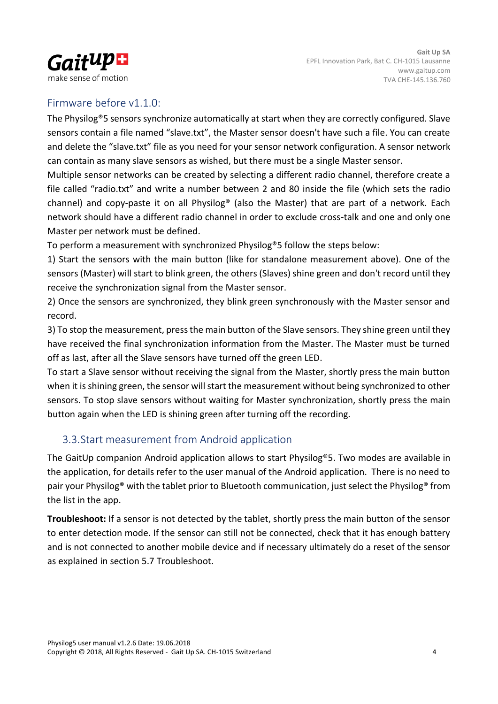

### Firmware before v1.1.0:

The Physilog®5 sensors synchronize automatically at start when they are correctly configured. Slave sensors contain a file named "slave.txt", the Master sensor doesn't have such a file. You can create and delete the "slave.txt" file as you need for your sensor network configuration. A sensor network can contain as many slave sensors as wished, but there must be a single Master sensor.

Multiple sensor networks can be created by selecting a different radio channel, therefore create a file called "radio.txt" and write a number between 2 and 80 inside the file (which sets the radio channel) and copy-paste it on all Physilog® (also the Master) that are part of a network. Each network should have a different radio channel in order to exclude cross-talk and one and only one Master per network must be defined.

To perform a measurement with synchronized Physilog®5 follow the steps below:

1) Start the sensors with the main button (like for standalone measurement above). One of the sensors (Master) will start to blink green, the others (Slaves) shine green and don't record until they receive the synchronization signal from the Master sensor.

2) Once the sensors are synchronized, they blink green synchronously with the Master sensor and record.

3) To stop the measurement, press the main button of the Slave sensors. They shine green until they have received the final synchronization information from the Master. The Master must be turned off as last, after all the Slave sensors have turned off the green LED.

To start a Slave sensor without receiving the signal from the Master, shortly press the main button when it is shining green, the sensor will start the measurement without being synchronized to other sensors. To stop slave sensors without waiting for Master synchronization, shortly press the main button again when the LED is shining green after turning off the recording.

## <span id="page-3-0"></span>3.3.Start measurement from Android application

The GaitUp companion Android application allows to start Physilog®5. Two modes are available in the application, for details refer to the user manual of the Android application. There is no need to pair your Physilog® with the tablet prior to Bluetooth communication, just select the Physilog® from the list in the app.

**Troubleshoot:** If a sensor is not detected by the tablet, shortly press the main button of the sensor to enter detection mode. If the sensor can still not be connected, check that it has enough battery and is not connected to another mobile device and if necessary ultimately do a reset of the sensor as explained in section 5.7 Troubleshoot.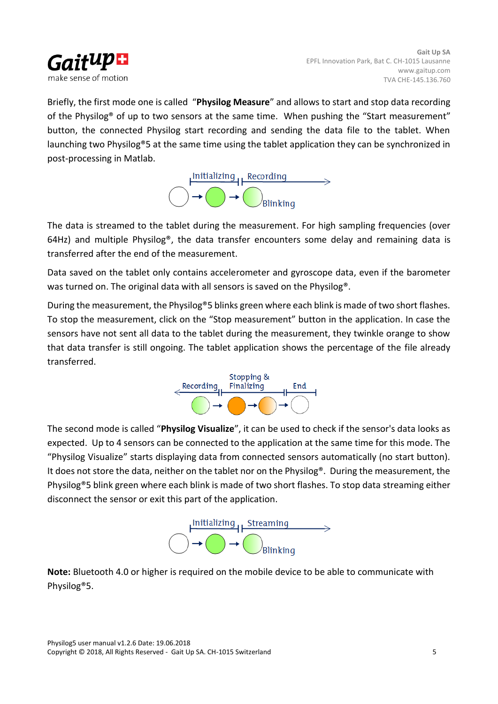

Briefly, the first mode one is called "**Physilog Measure**" and allows to start and stop data recording of the Physilog® of up to two sensors at the same time. When pushing the "Start measurement" button, the connected Physilog start recording and sending the data file to the tablet. When launching two Physilog®5 at the same time using the tablet application they can be synchronized in post-processing in Matlab.



The data is streamed to the tablet during the measurement. For high sampling frequencies (over 64Hz) and multiple Physilog<sup>®</sup>, the data transfer encounters some delay and remaining data is transferred after the end of the measurement.

Data saved on the tablet only contains accelerometer and gyroscope data, even if the barometer was turned on. The original data with all sensors is saved on the Physilog®.

During the measurement, the Physilog®5 blinks green where each blink is made of two short flashes. To stop the measurement, click on the "Stop measurement" button in the application. In case the sensors have not sent all data to the tablet during the measurement, they twinkle orange to show that data transfer is still ongoing. The tablet application shows the percentage of the file already transferred.



The second mode is called "**Physilog Visualize**", it can be used to check if the sensor's data looks as expected. Up to 4 sensors can be connected to the application at the same time for this mode. The "Physilog Visualize" starts displaying data from connected sensors automatically (no start button). It does not store the data, neither on the tablet nor on the Physilog®. During the measurement, the Physilog®5 blink green where each blink is made of two short flashes. To stop data streaming either disconnect the sensor or exit this part of the application.



**Note:** Bluetooth 4.0 or higher is required on the mobile device to be able to communicate with Physilog®5.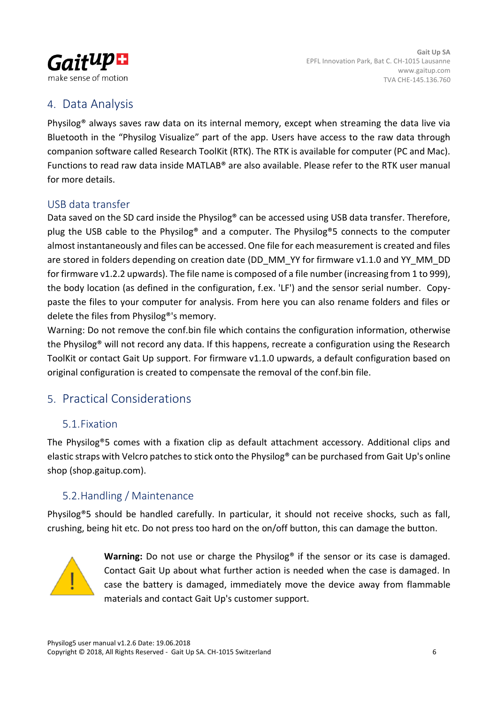

# <span id="page-5-0"></span>4. Data Analysis

Physilog® always saves raw data on its internal memory, except when streaming the data live via Bluetooth in the "Physilog Visualize" part of the app. Users have access to the raw data through companion software called Research ToolKit (RTK). The RTK is available for computer (PC and Mac). Functions to read raw data inside MATLAB® are also available. Please refer to the RTK user manual for more details.

## USB data transfer

Data saved on the SD card inside the Physilog® can be accessed using USB data transfer. Therefore, plug the USB cable to the Physilog® and a computer. The Physilog®5 connects to the computer almost instantaneously and files can be accessed. One file for each measurement is created and files are stored in folders depending on creation date (DD\_MM\_YY for firmware v1.1.0 and YY\_MM\_DD for firmware v1.2.2 upwards). The file name is composed of a file number (increasing from 1 to 999), the body location (as defined in the configuration, f.ex. 'LF') and the sensor serial number. Copypaste the files to your computer for analysis. From here you can also rename folders and files or delete the files from Physilog®'s memory.

Warning: Do not remove the conf.bin file which contains the configuration information, otherwise the Physilog® will not record any data. If this happens, recreate a configuration using the Research ToolKit or contact Gait Up support. For firmware v1.1.0 upwards, a default configuration based on original configuration is created to compensate the removal of the conf.bin file.

## <span id="page-5-1"></span>5. Practical Considerations

### <span id="page-5-2"></span>5.1.Fixation

The Physilog®5 comes with a fixation clip as default attachment accessory. Additional clips and elastic straps with Velcro patches to stick onto the Physilog® can be purchased from Gait Up's online shop (shop.gaitup.com).

## <span id="page-5-3"></span>5.2.Handling / Maintenance

Physilog®5 should be handled carefully. In particular, it should not receive shocks, such as fall, crushing, being hit etc. Do not press too hard on the on/off button, this can damage the button.



**Warning:** Do not use or charge the Physilog® if the sensor or its case is damaged. Contact Gait Up about what further action is needed when the case is damaged. In case the battery is damaged, immediately move the device away from flammable materials and contact Gait Up's customer support.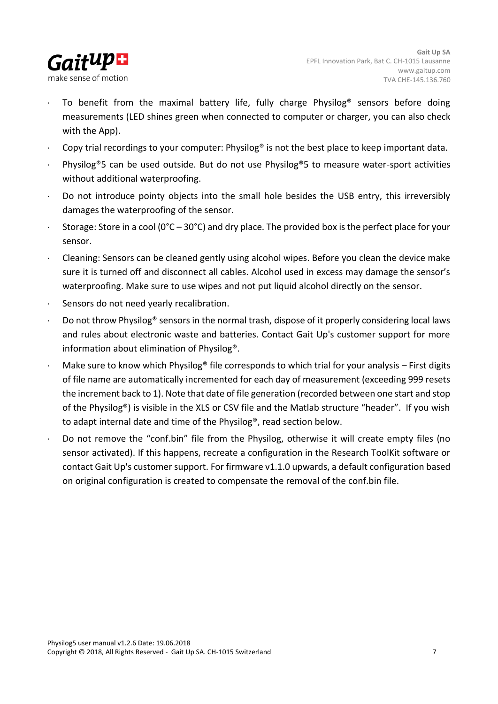

- To benefit from the maximal battery life, fully charge Physilog® sensors before doing measurements (LED shines green when connected to computer or charger, you can also check with the App).
- Copy trial recordings to your computer: Physilog® is not the best place to keep important data.
- Physilog®5 can be used outside. But do not use Physilog®5 to measure water-sport activities without additional waterproofing.
- Do not introduce pointy objects into the small hole besides the USB entry, this irreversibly damages the waterproofing of the sensor.
- Storage: Store in a cool ( $0^{\circ}$ C  $30^{\circ}$ C) and dry place. The provided box is the perfect place for your sensor.
- Cleaning: Sensors can be cleaned gently using alcohol wipes. Before you clean the device make sure it is turned off and disconnect all cables. Alcohol used in excess may damage the sensor's waterproofing. Make sure to use wipes and not put liquid alcohol directly on the sensor.
- Sensors do not need yearly recalibration.
- Do not throw Physilog® sensors in the normal trash, dispose of it properly considering local laws and rules about electronic waste and batteries. Contact Gait Up's customer support for more information about elimination of Physilog®.
- Make sure to know which Physilog® file corresponds to which trial for your analysis First digits of file name are automatically incremented for each day of measurement (exceeding 999 resets the increment back to 1). Note that date of file generation (recorded between one start and stop of the Physilog®) is visible in the XLS or CSV file and the Matlab structure "header". If you wish to adapt internal date and time of the Physilog®, read section below.
- Do not remove the "conf.bin" file from the Physilog, otherwise it will create empty files (no sensor activated). If this happens, recreate a configuration in the Research ToolKit software or contact Gait Up's customer support. For firmware v1.1.0 upwards, a default configuration based on original configuration is created to compensate the removal of the conf.bin file.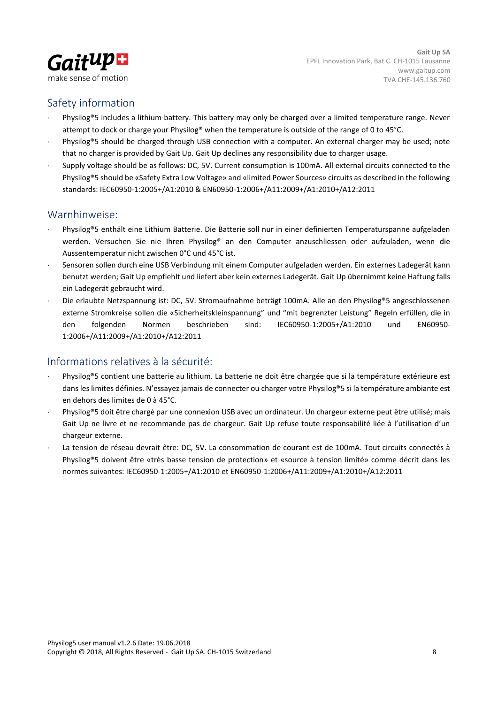

### Safety information

- Physilog®5 includes a lithium battery. This battery may only be charged over a limited temperature range. Never attempt to dock or charge your Physilog® when the temperature is outside of the range of 0 to 45°C.
- Physilog®5 should be charged through USB connection with a computer. An external charger may be used; note that no charger is provided by Gait Up. Gait Up declines any responsibility due to charger usage.
- Supply voltage should be as follows: DC, 5V. Current consumption is 100mA. All external circuits connected to the Physilog®5 should be «Safety Extra Low Voltage» and «limited Power Sources» circuits as described in the following standards: IEC60950-1:2005+/A1:2010 & EN60950-1:2006+/A11:2009+/A1:2010+/A12:2011

### Warnhinweise:

- Physilog®5 enthält eine Lithium Batterie. Die Batterie soll nur in einer definierten Temperaturspanne aufgeladen werden. Versuchen Sie nie Ihren Physilog® an den Computer anzuschliessen oder aufzuladen, wenn die Aussentemperatur nicht zwischen 0°C und 45°C ist.
- Sensoren sollen durch eine USB Verbindung mit einem Computer aufgeladen werden. Ein externes Ladegerät kann benutzt werden; Gait Up empfiehlt und liefert aber kein externes Ladegerät. Gait Up übernimmt keine Haftung falls ein Ladegerät gebraucht wird.
- Die erlaubte Netzspannung ist: DC, 5V. Stromaufnahme beträgt 100mA. Alle an den Physilog®5 angeschlossenen externe Stromkreise sollen die «Sicherheitskleinspannung" und "mit begrenzter Leistung" Regeln erfüllen, die in den folgenden Normen beschrieben sind: IEC60950-1:2005+/A1:2010 und EN60950- 1:2006+/A11:2009+/A1:2010+/A12:2011

## Informations relatives à la sécurité:

- Physilog®5 contient une batterie au lithium. La batterie ne doit être chargée que si la température extérieure est dans les limites définies. N'essayez jamais de connecter ou charger votre Physilog®5 si la température ambiante est en dehors des limites de 0 à 45°C.
- Physilog®5 doit être chargé par une connexion USB avec un ordinateur. Un chargeur externe peut être utilisé; mais Gait Up ne livre et ne recommande pas de chargeur. Gait Up refuse toute responsabilité liée à l'utilisation d'un chargeur externe.
- La tension de réseau devrait être: DC, 5V. La consommation de courant est de 100mA. Tout circuits connectés à Physilog®5 doivent être «très basse tension de protection» et «source à tension limité» comme décrit dans les normes suivantes: IEC60950-1:2005+/A1:2010 et EN60950-1:2006+/A11:2009+/A1:2010+/A12:2011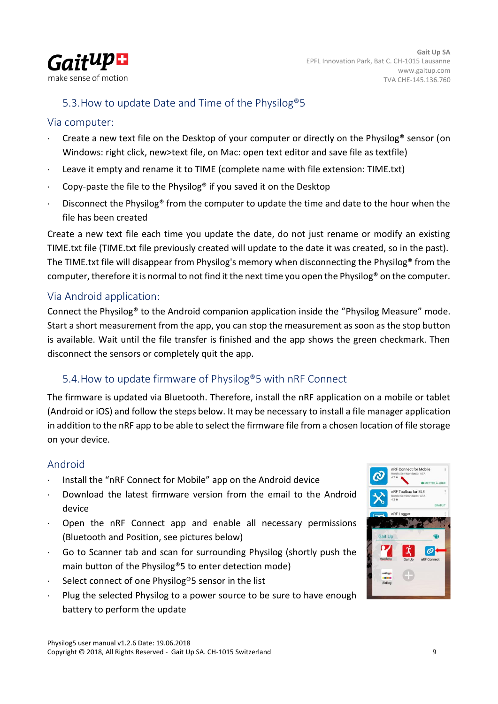

## <span id="page-8-0"></span>5.3.How to update Date and Time of the Physilog®5

### Via computer:

- Create a new text file on the Desktop of your computer or directly on the Physilog® sensor (on Windows: right click, new>text file, on Mac: open text editor and save file as textfile)
- Leave it empty and rename it to TIME (complete name with file extension: TIME.txt)
- Copy-paste the file to the Physilog® if you saved it on the Desktop
- Disconnect the Physilog® from the computer to update the time and date to the hour when the file has been created

Create a new text file each time you update the date, do not just rename or modify an existing TIME.txt file (TIME.txt file previously created will update to the date it was created, so in the past). The TIME.txt file will disappear from Physilog's memory when disconnecting the Physilog® from the computer, therefore it is normal to not find it the next time you open the Physilog® on the computer.

### Via Android application:

Connect the Physilog® to the Android companion application inside the "Physilog Measure" mode. Start a short measurement from the app, you can stop the measurement as soon as the stop button is available. Wait until the file transfer is finished and the app shows the green checkmark. Then disconnect the sensors or completely quit the app.

## <span id="page-8-1"></span>5.4.How to update firmware of Physilog®5 with nRF Connect

The firmware is updated via Bluetooth. Therefore, install the nRF application on a mobile or tablet (Android or iOS) and follow the steps below. It may be necessary to install a file manager application in addition to the nRF app to be able to select the firmware file from a chosen location of file storage on your device.

### Android

- Install the "nRF Connect for Mobile" app on the Android device
- Download the latest firmware version from the email to the Android device
- Open the nRF Connect app and enable all necessary permissions (Bluetooth and Position, see pictures below)
- Go to Scanner tab and scan for surrounding Physilog (shortly push the main button of the Physilog®5 to enter detection mode)
- Select connect of one Physilog®5 sensor in the list
- Plug the selected Physilog to a power source to be sure to have enough battery to perform the update

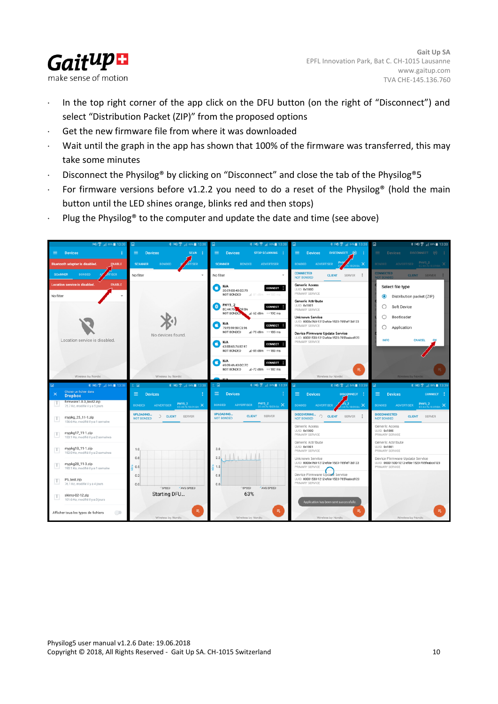

- In the top right corner of the app click on the DFU button (on the right of "Disconnect") and select "Distribution Packet (ZIP)" from the proposed options
- Get the new firmware file from where it was downloaded
- Wait until the graph in the app has shown that 100% of the firmware was transferred, this may take some minutes
- Disconnect the Physilog® by clicking on "Disconnect" and close the tab of the Physilog®5
- For firmware versions before v1.2.2 you need to do a reset of the Physilog® (hold the main button until the LED shines orange, blinks red and then stops)
- Plug the Physilog<sup>®</sup> to the computer and update the date and time (see above)

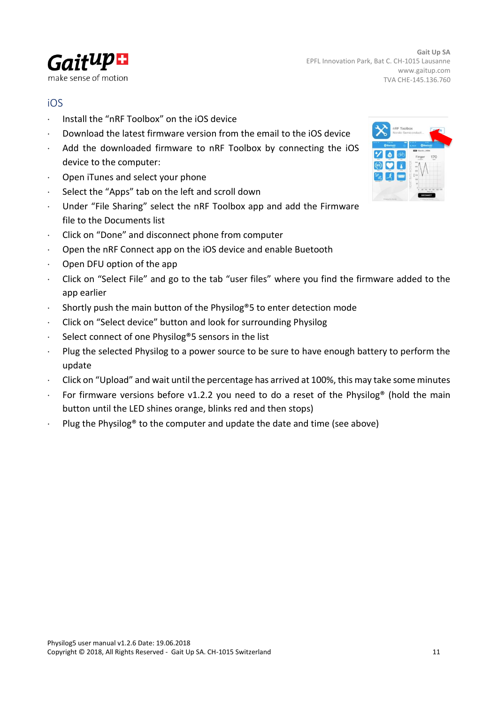

### iOS

- Install the "nRF Toolbox" on the iOS device
- $\cdot$  Download the latest firmware version from the email to the iOS device
- Add the downloaded firmware to nRF Toolbox by connecting the iOS device to the computer:
- Open iTunes and select your phone
- Select the "Apps" tab on the left and scroll down
- Under "File Sharing" select the nRF Toolbox app and add the Firmware file to the Documents list
- Click on "Done" and disconnect phone from computer
- Open the nRF Connect app on the iOS device and enable Buetooth
- $\cdot$  Open DFU option of the app
- Click on "Select File" and go to the tab "user files" where you find the firmware added to the app earlier
- Shortly push the main button of the Physilog®5 to enter detection mode
- Click on "Select device" button and look for surrounding Physilog
- Select connect of one Physilog®5 sensors in the list
- Plug the selected Physilog to a power source to be sure to have enough battery to perform the update
- Click on "Upload" and wait until the percentage has arrived at 100%, this may take some minutes
- For firmware versions before v1.2.2 you need to do a reset of the Physilog<sup>®</sup> (hold the main button until the LED shines orange, blinks red and then stops)
- Plug the Physilog<sup>®</sup> to the computer and update the date and time (see above)

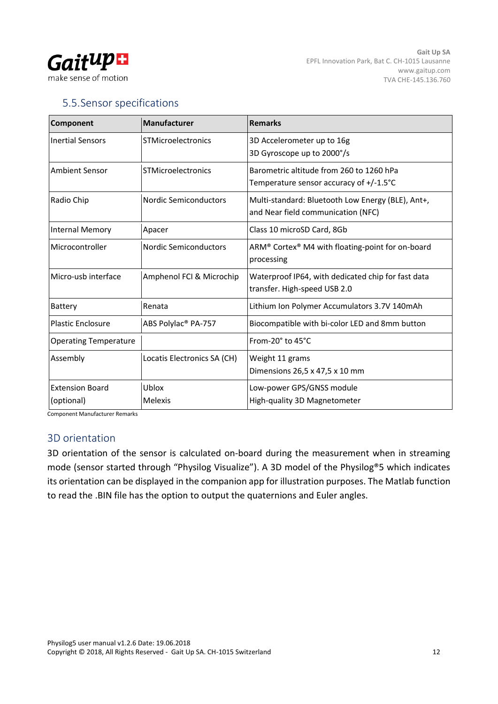

## <span id="page-11-0"></span>5.5.Sensor specifications

| Component                            | Manufacturer                    | <b>Remarks</b>                                                                          |
|--------------------------------------|---------------------------------|-----------------------------------------------------------------------------------------|
| <b>Inertial Sensors</b>              | <b>STMicroelectronics</b>       | 3D Accelerometer up to 16g<br>3D Gyroscope up to 2000°/s                                |
| <b>Ambient Sensor</b>                | <b>STMicroelectronics</b>       | Barometric altitude from 260 to 1260 hPa<br>Temperature sensor accuracy of +/-1.5°C     |
| Radio Chip                           | Nordic Semiconductors           | Multi-standard: Bluetooth Low Energy (BLE), Ant+,<br>and Near field communication (NFC) |
| <b>Internal Memory</b>               | Apacer                          | Class 10 microSD Card, 8Gb                                                              |
| Microcontroller                      | Nordic Semiconductors           | ARM® Cortex® M4 with floating-point for on-board<br>processing                          |
| Micro-usb interface                  | Amphenol FCI & Microchip        | Waterproof IP64, with dedicated chip for fast data<br>transfer. High-speed USB 2.0      |
| Battery                              | Renata                          | Lithium Ion Polymer Accumulators 3.7V 140mAh                                            |
| <b>Plastic Enclosure</b>             | ABS Polylac <sup>®</sup> PA-757 | Biocompatible with bi-color LED and 8mm button                                          |
| <b>Operating Temperature</b>         |                                 | From-20 $^{\circ}$ to 45 $^{\circ}$ C                                                   |
| Assembly                             | Locatis Electronics SA (CH)     | Weight 11 grams<br>Dimensions 26,5 x 47,5 x 10 mm                                       |
| <b>Extension Board</b><br>(optional) | Ublox<br>Melexis                | Low-power GPS/GNSS module<br>High-quality 3D Magnetometer                               |

Component Manufacturer Remarks

#### 3D orientation

3D orientation of the sensor is calculated on-board during the measurement when in streaming mode (sensor started through "Physilog Visualize"). A 3D model of the Physilog®5 which indicates its orientation can be displayed in the companion app for illustration purposes. The Matlab function to read the .BIN file has the option to output the quaternions and Euler angles.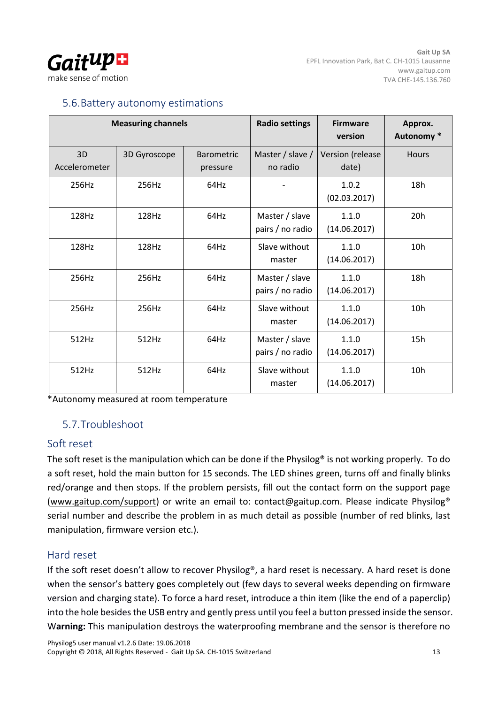

### <span id="page-12-0"></span>5.6.Battery autonomy estimations

|                     | <b>Measuring channels</b> |                               | <b>Radio settings</b>              | <b>Firmware</b><br>version | Approx.<br>Autonomy* |
|---------------------|---------------------------|-------------------------------|------------------------------------|----------------------------|----------------------|
| 3D<br>Accelerometer | 3D Gyroscope              | <b>Barometric</b><br>pressure | Master / slave /<br>no radio       | Version (release<br>date)  | <b>Hours</b>         |
| 256Hz               | 256Hz                     | 64Hz                          |                                    | 1.0.2<br>(02.03.2017)      | 18h                  |
| 128Hz               | 128Hz                     | 64Hz                          | Master / slave<br>pairs / no radio | 1.1.0<br>(14.06.2017)      | 20h                  |
| 128Hz               | 128Hz                     | 64Hz                          | Slave without<br>master            | 1.1.0<br>(14.06.2017)      | 10 <sub>h</sub>      |
| 256Hz               | 256Hz                     | 64Hz                          | Master / slave<br>pairs / no radio | 1.1.0<br>(14.06.2017)      | 18h                  |
| 256Hz               | 256Hz                     | 64Hz                          | Slave without<br>master            | 1.1.0<br>(14.06.2017)      | 10 <sub>h</sub>      |
| 512Hz               | 512Hz                     | 64Hz                          | Master / slave<br>pairs / no radio | 1.1.0<br>(14.06.2017)      | 15h                  |
| 512Hz               | 512Hz                     | 64Hz                          | Slave without<br>master            | 1.1.0<br>(14.06.2017)      | 10h                  |

<span id="page-12-1"></span>\*Autonomy measured at room temperature

## 5.7.Troubleshoot

### Soft reset

The soft reset is the manipulation which can be done if the Physilog® is not working properly. To do a soft reset, hold the main button for 15 seconds. The LED shines green, turns off and finally blinks red/orange and then stops. If the problem persists, fill out the contact form on the support page [\(www.gaitup.com/support\)](http://www.gaitup.com/support) or write an email to: contact@gaitup.com. Please indicate Physilog® serial number and describe the problem in as much detail as possible (number of red blinks, last manipulation, firmware version etc.).

### Hard reset

If the soft reset doesn't allow to recover Physilog®, a hard reset is necessary. A hard reset is done when the sensor's battery goes completely out (few days to several weeks depending on firmware version and charging state). To force a hard reset, introduce a thin item (like the end of a paperclip) into the hole besides the USB entry and gently press until you feel a button pressed inside the sensor. W**arning:** This manipulation destroys the waterproofing membrane and the sensor is therefore no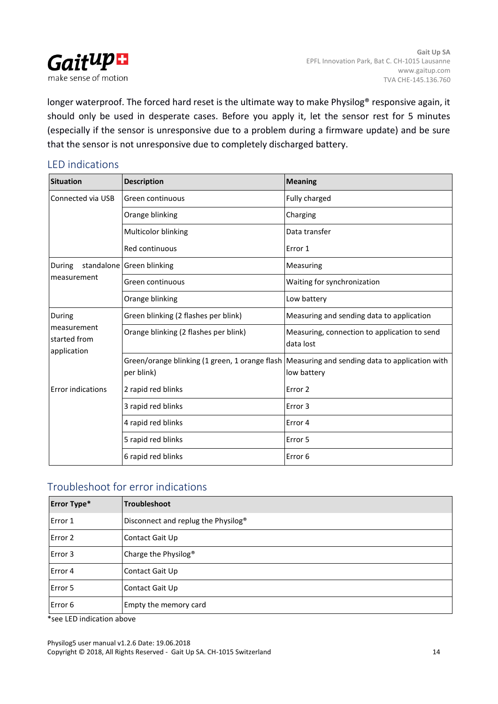

longer waterproof. The forced hard reset is the ultimate way to make Physilog® responsive again, it should only be used in desperate cases. Before you apply it, let the sensor rest for 5 minutes (especially if the sensor is unresponsive due to a problem during a firmware update) and be sure that the sensor is not unresponsive due to completely discharged battery.

#### LED indications

| <b>Situation</b>                           | <b>Description</b>                    | <b>Meaning</b>                                                                                                 |
|--------------------------------------------|---------------------------------------|----------------------------------------------------------------------------------------------------------------|
| Connected via USB                          | Green continuous                      | Fully charged                                                                                                  |
|                                            | Orange blinking                       | Charging                                                                                                       |
|                                            | Multicolor blinking                   | Data transfer                                                                                                  |
|                                            | Red continuous                        | Error 1                                                                                                        |
| During                                     | standalone Green blinking             | Measuring                                                                                                      |
| measurement                                | Green continuous                      | Waiting for synchronization                                                                                    |
|                                            | Orange blinking                       | Low battery                                                                                                    |
| During                                     | Green blinking (2 flashes per blink)  | Measuring and sending data to application                                                                      |
| measurement<br>started from<br>application | Orange blinking (2 flashes per blink) | Measuring, connection to application to send<br>data lost                                                      |
|                                            | per blink)                            | Green/orange blinking (1 green, 1 orange flash   Measuring and sending data to application with<br>low battery |
| <b>Error indications</b>                   | 2 rapid red blinks                    | Error <sub>2</sub>                                                                                             |
|                                            | 3 rapid red blinks                    | Error 3                                                                                                        |
|                                            | 4 rapid red blinks                    | Error 4                                                                                                        |
|                                            | 5 rapid red blinks                    | Error 5                                                                                                        |
|                                            | 6 rapid red blinks                    | Error <sub>6</sub>                                                                                             |

### Troubleshoot for error indications

| <b>Error Type*</b> | <b>Troubleshoot</b>                 |
|--------------------|-------------------------------------|
| Error 1            | Disconnect and replug the Physilog® |
| Error 2            | Contact Gait Up                     |
| Error 3            | Charge the Physilog <sup>®</sup>    |
| Error 4            | Contact Gait Up                     |
| Error 5            | Contact Gait Up                     |
| Error 6            | Empty the memory card               |

\*see LED indication above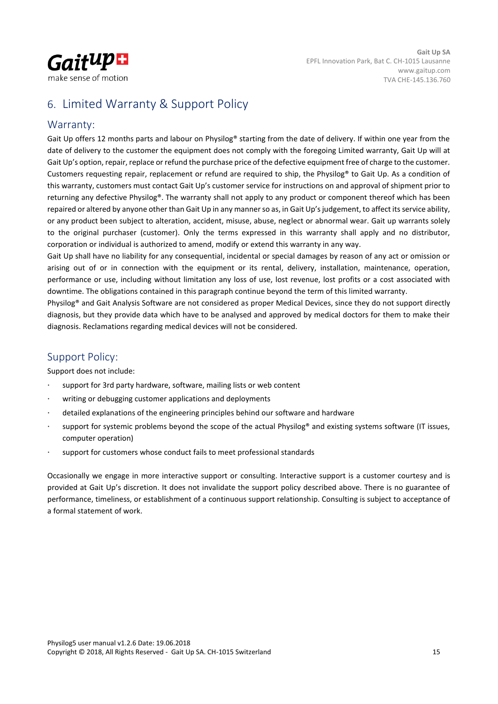

## <span id="page-14-0"></span>6. Limited Warranty & Support Policy

#### Warranty:

Gait Up offers 12 months parts and labour on Physilog® starting from the date of delivery. If within one year from the date of delivery to the customer the equipment does not comply with the foregoing Limited warranty, Gait Up will at Gait Up's option, repair, replace or refund the purchase price of the defective equipment free of charge to the customer. Customers requesting repair, replacement or refund are required to ship, the Physilog® to Gait Up. As a condition of this warranty, customers must contact Gait Up's customer service for instructions on and approval of shipment prior to returning any defective Physilog®. The warranty shall not apply to any product or component thereof which has been repaired or altered by anyone other than Gait Up in any manner so as, in Gait Up's judgement, to affect its service ability, or any product been subject to alteration, accident, misuse, abuse, neglect or abnormal wear. Gait up warrants solely to the original purchaser (customer). Only the terms expressed in this warranty shall apply and no distributor, corporation or individual is authorized to amend, modify or extend this warranty in any way.

Gait Up shall have no liability for any consequential, incidental or special damages by reason of any act or omission or arising out of or in connection with the equipment or its rental, delivery, installation, maintenance, operation, performance or use, including without limitation any loss of use, lost revenue, lost profits or a cost associated with downtime. The obligations contained in this paragraph continue beyond the term of this limited warranty.

Physilog® and Gait Analysis Software are not considered as proper Medical Devices, since they do not support directly diagnosis, but they provide data which have to be analysed and approved by medical doctors for them to make their diagnosis. Reclamations regarding medical devices will not be considered.

### Support Policy:

Support does not include:

- support for 3rd party hardware, software, mailing lists or web content
- writing or debugging customer applications and deployments
- detailed explanations of the engineering principles behind our software and hardware
- support for systemic problems beyond the scope of the actual Physilog® and existing systems software (IT issues, computer operation)
- support for customers whose conduct fails to meet professional standards

Occasionally we engage in more interactive support or consulting. Interactive support is a customer courtesy and is provided at Gait Up's discretion. It does not invalidate the support policy described above. There is no guarantee of performance, timeliness, or establishment of a continuous support relationship. Consulting is subject to acceptance of a formal statement of work.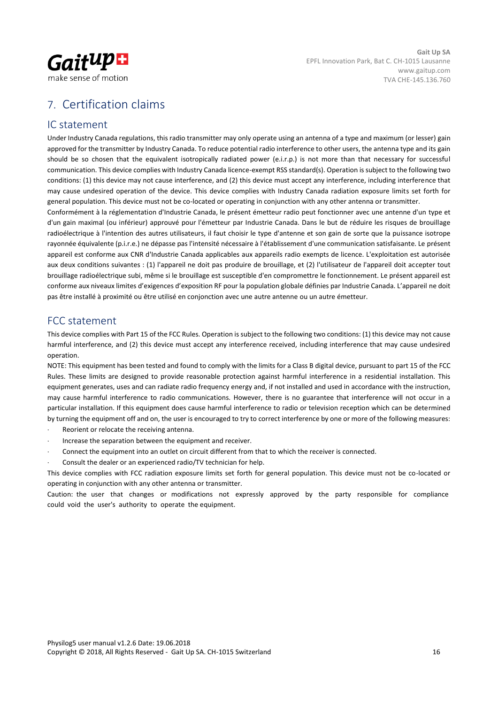

# <span id="page-15-0"></span>7. Certification claims

#### IC statement

Under Industry Canada regulations, this radio transmitter may only operate using an antenna of a type and maximum (or lesser) gain approved for the transmitter by Industry Canada. To reduce potential radio interference to other users, the antenna type and its gain should be so chosen that the equivalent isotropically radiated power (e.i.r.p.) is not more than that necessary for successful communication. This device complies with Industry Canada licence-exempt RSS standard(s). Operation is subject to the following two conditions: (1) this device may not cause interference, and (2) this device must accept any interference, including interference that may cause undesired operation of the device. This device complies with Industry Canada radiation exposure limits set forth for general population. This device must not be co-located or operating in conjunction with any other antenna or transmitter.

Conformément à la réglementation d'Industrie Canada, le présent émetteur radio peut fonctionner avec une antenne d'un type et d'un gain maximal (ou inférieur) approuvé pour l'émetteur par Industrie Canada. Dans le but de réduire les risques de brouillage radioélectrique à l'intention des autres utilisateurs, il faut choisir le type d'antenne et son gain de sorte que la puissance isotrope rayonnée équivalente (p.i.r.e.) ne dépasse pas l'intensité nécessaire à l'établissement d'une communication satisfaisante. Le présent appareil est conforme aux CNR d'Industrie Canada applicables aux appareils radio exempts de licence. L'exploitation est autorisée aux deux conditions suivantes : (1) l'appareil ne doit pas produire de brouillage, et (2) l'utilisateur de l'appareil doit accepter tout brouillage radioélectrique subi, même si le brouillage est susceptible d'en compromettre le fonctionnement. Le présent appareil est conforme aux niveaux limites d'exigences d'exposition RF pour la population globale définies par Industrie Canada. L'appareil ne doit pas être installé à proximité ou être utilisé en conjonction avec une autre antenne ou un autre émetteur.

### FCC statement

This device complies with Part 15 of the FCC Rules. Operation is subject to the following two conditions: (1) this device may not cause harmful interference, and (2) this device must accept any interference received, including interference that may cause undesired operation.

NOTE: This equipment has been tested and found to comply with the limits for a Class B digital device, pursuant to part 15 of the FCC Rules. These limits are designed to provide reasonable protection against harmful interference in a residential installation. This equipment generates, uses and can radiate radio frequency energy and, if not installed and used in accordance with the instruction, may cause harmful interference to radio communications. However, there is no guarantee that interference will not occur in a particular installation. If this equipment does cause harmful interference to radio or television reception which can be determined by turning the equipment off and on, the user is encouraged to try to correct interference by one or more of the following measures:

- Reorient or relocate the receiving antenna.
- Increase the separation between the equipment and receiver.
- Connect the equipment into an outlet on circuit different from that to which the receiver is connected.
- Consult the dealer or an experienced radio/TV technician for help.

This device complies with FCC radiation exposure limits set forth for general population. This device must not be co-located or operating in conjunction with any other antenna or transmitter.

Caution: the user that changes or modifications not expressly approved by the party responsible for compliance could void the user's authority to operate the equipment.